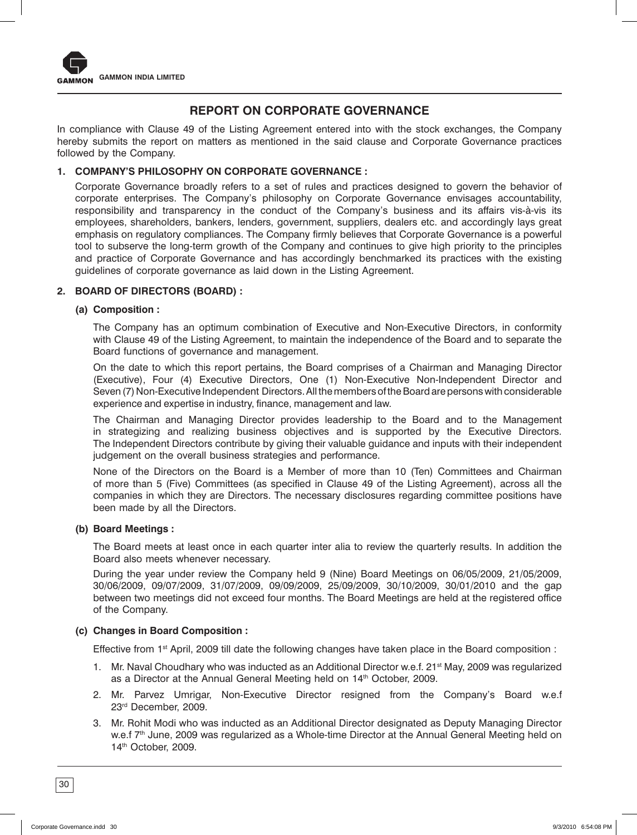

# **REPORT ON CORPORATE GOVERNANCE**

In compliance with Clause 49 of the Listing Agreement entered into with the stock exchanges, the Company hereby submits the report on matters as mentioned in the said clause and Corporate Governance practices followed by the Company.

## **1. COMPANY'S PHILOSOPHY ON CORPORATE GOVERNANCE :**

Corporate Governance broadly refers to a set of rules and practices designed to govern the behavior of corporate enterprises. The Company's philosophy on Corporate Governance envisages accountability, responsibility and transparency in the conduct of the Company's business and its affairs vis-à-vis its employees, shareholders, bankers, lenders, government, suppliers, dealers etc. and accordingly lays great emphasis on regulatory compliances. The Company firmly believes that Corporate Governance is a powerful tool to subserve the long-term growth of the Company and continues to give high priority to the principles and practice of Corporate Governance and has accordingly benchmarked its practices with the existing guidelines of corporate governance as laid down in the Listing Agreement.

## **2. BOARD OF DIRECTORS (BOARD) :**

## **(a) Composition :**

 The Company has an optimum combination of Executive and Non-Executive Directors, in conformity with Clause 49 of the Listing Agreement, to maintain the independence of the Board and to separate the Board functions of governance and management.

 On the date to which this report pertains, the Board comprises of a Chairman and Managing Director (Executive), Four (4) Executive Directors, One (1) Non-Executive Non-Independent Director and Seven (7) Non-Executive Independent Directors. All the members of the Board are persons with considerable experience and expertise in industry, finance, management and law.

 The Chairman and Managing Director provides leadership to the Board and to the Management in strategizing and realizing business objectives and is supported by the Executive Directors. The Independent Directors contribute by giving their valuable guidance and inputs with their independent judgement on the overall business strategies and performance.

 None of the Directors on the Board is a Member of more than 10 (Ten) Committees and Chairman of more than 5 (Five) Committees (as specified in Clause 49 of the Listing Agreement), across all the companies in which they are Directors. The necessary disclosures regarding committee positions have been made by all the Directors.

#### **(b) Board Meetings :**

 The Board meets at least once in each quarter inter alia to review the quarterly results. In addition the Board also meets whenever necessary.

 During the year under review the Company held 9 (Nine) Board Meetings on 06/05/2009, 21/05/2009, 30/06/2009, 09/07/2009, 31/07/2009, 09/09/2009, 25/09/2009, 30/10/2009, 30/01/2010 and the gap between two meetings did not exceed four months. The Board Meetings are held at the registered office of the Company.

## **(c) Changes in Board Composition :**

Effective from 1<sup>st</sup> April, 2009 till date the following changes have taken place in the Board composition :

- 1. Mr. Naval Choudhary who was inducted as an Additional Director w.e.f. 21<sup>st</sup> May, 2009 was regularized as a Director at the Annual General Meeting held on 14<sup>th</sup> October, 2009.
- 2. Mr. Parvez Umrigar, Non-Executive Director resigned from the Company's Board w.e.f 23rd December, 2009.
- 3. Mr. Rohit Modi who was inducted as an Additional Director designated as Deputy Managing Director w.e.f 7<sup>th</sup> June, 2009 was regularized as a Whole-time Director at the Annual General Meeting held on 14<sup>th</sup> October, 2009.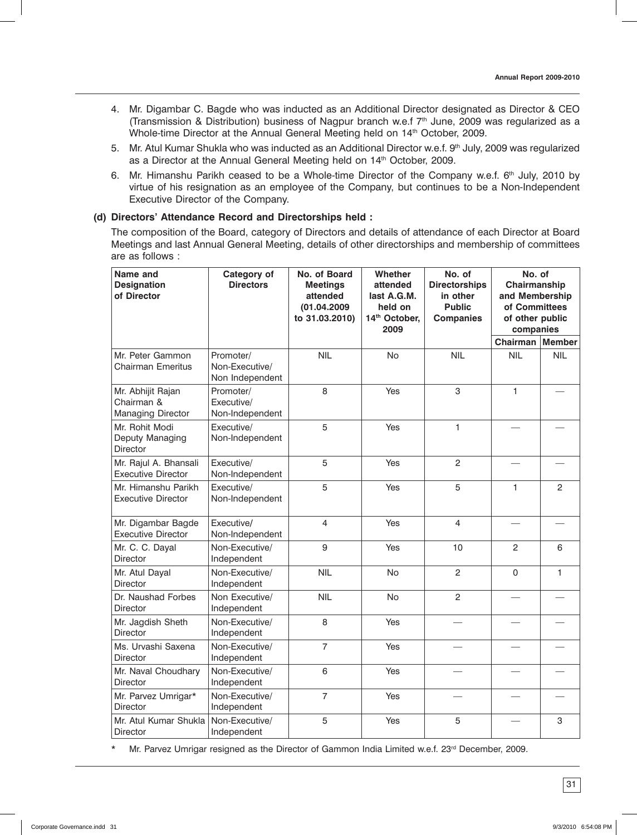- 4. Mr. Digambar C. Bagde who was inducted as an Additional Director designated as Director & CEO (Transmission & Distribution) business of Nagpur branch w.e.f  $7<sup>th</sup>$  June, 2009 was regularized as a Whole-time Director at the Annual General Meeting held on 14<sup>th</sup> October, 2009.
- 5. Mr. Atul Kumar Shukla who was inducted as an Additional Director w.e.f. 9th July, 2009 was regularized as a Director at the Annual General Meeting held on 14<sup>th</sup> October, 2009.
- 6. Mr. Himanshu Parikh ceased to be a Whole-time Director of the Company w.e.f. 6th July, 2010 by virtue of his resignation as an employee of the Company, but continues to be a Non-Independent Executive Director of the Company.

## **(d) Directors' Attendance Record and Directorships held :**

 The composition of the Board, category of Directors and details of attendance of each Director at Board Meetings and last Annual General Meeting, details of other directorships and membership of committees are as follows :

| Name and<br><b>Designation</b><br>of Director        | Category of<br><b>Directors</b>                | No. of Board<br><b>Meetings</b><br>attended<br>(01.04.2009<br>to 31.03.2010) | <b>Whether</b><br>attended<br>last A.G.M.<br>held on<br>14th October,<br>2009 | No. of<br><b>Directorships</b><br>in other<br><b>Public</b><br><b>Companies</b> | No. of<br>Chairmanship<br>and Membership<br>of Committees<br>of other public<br>companies |               |
|------------------------------------------------------|------------------------------------------------|------------------------------------------------------------------------------|-------------------------------------------------------------------------------|---------------------------------------------------------------------------------|-------------------------------------------------------------------------------------------|---------------|
|                                                      |                                                |                                                                              |                                                                               |                                                                                 | Chairman                                                                                  | <b>Member</b> |
| Mr. Peter Gammon<br><b>Chairman Emeritus</b>         | Promoter/<br>Non-Executive/<br>Non Independent | <b>NIL</b>                                                                   | No                                                                            | <b>NIL</b>                                                                      | <b>NIL</b>                                                                                | <b>NIL</b>    |
| Mr. Abhijit Rajan<br>Chairman &<br>Managing Director | Promoter/<br>Executive/<br>Non-Independent     | 8                                                                            | Yes                                                                           | 3                                                                               | $\mathbf{1}$                                                                              |               |
| Mr. Rohit Modi<br>Deputy Managing<br>Director        | Executive/<br>Non-Independent                  | 5                                                                            | Yes                                                                           | $\mathbf{1}$                                                                    |                                                                                           |               |
| Mr. Rajul A. Bhansali<br><b>Executive Director</b>   | Executive/<br>Non-Independent                  | 5                                                                            | Yes                                                                           | $\overline{c}$                                                                  |                                                                                           |               |
| Mr. Himanshu Parikh<br><b>Executive Director</b>     | Executive/<br>Non-Independent                  | 5                                                                            | Yes                                                                           | 5                                                                               | $\mathbf{1}$                                                                              | $\mathcal{P}$ |
| Mr. Digambar Bagde<br><b>Executive Director</b>      | Executive/<br>Non-Independent                  | $\overline{4}$                                                               | Yes                                                                           | 4                                                                               |                                                                                           |               |
| Mr. C. C. Dayal<br><b>Director</b>                   | Non-Executive/<br>Independent                  | 9                                                                            | Yes                                                                           | 10                                                                              | 2                                                                                         | 6             |
| Mr. Atul Dayal<br>Director                           | Non-Executive/<br>Independent                  | <b>NIL</b>                                                                   | <b>No</b>                                                                     | $\overline{2}$                                                                  | $\Omega$                                                                                  | $\mathbf{1}$  |
| Dr. Naushad Forbes<br><b>Director</b>                | Non Executive/<br>Independent                  | <b>NIL</b>                                                                   | No                                                                            | 2                                                                               |                                                                                           |               |
| Mr. Jagdish Sheth<br>Director                        | Non-Executive/<br>Independent                  | 8                                                                            | Yes                                                                           |                                                                                 |                                                                                           |               |
| Ms. Urvashi Saxena<br><b>Director</b>                | Non-Executive/<br>Independent                  | $\overline{7}$                                                               | Yes                                                                           |                                                                                 |                                                                                           |               |
| Mr. Naval Choudhary<br><b>Director</b>               | Non-Executive/<br>Independent                  | 6                                                                            | Yes                                                                           |                                                                                 |                                                                                           |               |
| Mr. Parvez Umrigar*<br>Director                      | Non-Executive/<br>Independent                  | $\overline{7}$                                                               | Yes                                                                           |                                                                                 |                                                                                           |               |
| Mr. Atul Kumar Shukla<br><b>Director</b>             | Non-Executive/<br>Independent                  | 5                                                                            | Yes                                                                           | 5                                                                               |                                                                                           | 3             |

\* Mr. Parvez Umrigar resigned as the Director of Gammon India Limited w.e.f. 23<sup>rd</sup> December, 2009.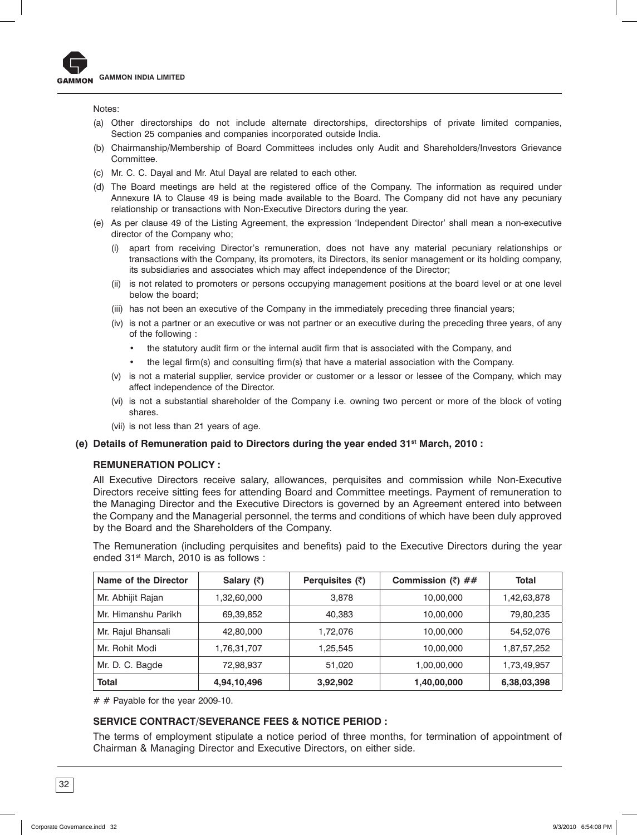

Notes:

- (a) Other directorships do not include alternate directorships, directorships of private limited companies, Section 25 companies and companies incorporated outside India.
- (b) Chairmanship/Membership of Board Committees includes only Audit and Shareholders/Investors Grievance Committee.
- (c) Mr. C. C. Dayal and Mr. Atul Dayal are related to each other.
- (d) The Board meetings are held at the registered office of the Company. The information as required under Annexure IA to Clause 49 is being made available to the Board. The Company did not have any pecuniary relationship or transactions with Non-Executive Directors during the year.
- (e) As per clause 49 of the Listing Agreement, the expression 'Independent Director' shall mean a non-executive director of the Company who;
	- (i) apart from receiving Director's remuneration, does not have any material pecuniary relationships or transactions with the Company, its promoters, its Directors, its senior management or its holding company, its subsidiaries and associates which may affect independence of the Director;
	- (ii) is not related to promoters or persons occupying management positions at the board level or at one level below the board;
	- (iii) has not been an executive of the Company in the immediately preceding three financial years;
	- (iv) is not a partner or an executive or was not partner or an executive during the preceding three years, of any of the following :
		- the statutory audit firm or the internal audit firm that is associated with the Company, and
		- the legal firm(s) and consulting firm(s) that have a material association with the Company.
	- (v) is not a material supplier, service provider or customer or a lessor or lessee of the Company, which may affect independence of the Director.
	- (vi) is not a substantial shareholder of the Company i.e. owning two percent or more of the block of voting shares.
	- (vii) is not less than 21 years of age.

#### **(e) Details of Remuneration paid to Directors during the year ended 31st March, 2010 :**

#### **REMUNERATION POLICY :**

 All Executive Directors receive salary, allowances, perquisites and commission while Non-Executive Directors receive sitting fees for attending Board and Committee meetings. Payment of remuneration to the Managing Director and the Executive Directors is governed by an Agreement entered into between the Company and the Managerial personnel, the terms and conditions of which have been duly approved by the Board and the Shareholders of the Company.

 The Remuneration (including perquisites and benefits) paid to the Executive Directors during the year ended 31<sup>st</sup> March, 2010 is as follows :

| Name of the Director | Salary $(\bar{z})$ | Perquisites $(3)$ | Commission $(\bar{z})$ ## | Total       |
|----------------------|--------------------|-------------------|---------------------------|-------------|
| Mr. Abhijit Rajan    | 1,32,60,000        | 3,878             | 10,00,000                 | 1,42,63,878 |
| Mr. Himanshu Parikh  | 69,39,852          | 40,383            | 10,00,000                 | 79,80,235   |
| Mr. Rajul Bhansali   | 42,80,000          | 1.72.076          | 10,00,000                 | 54,52,076   |
| Mr. Rohit Modi       | 1,76,31,707        | 1.25.545          | 10,00,000                 | 1,87,57,252 |
| Mr. D. C. Bagde      | 72,98,937          | 51,020            | 1,00,00,000               | 1,73,49,957 |
| <b>Total</b>         | 4,94,10,496        | 3,92,902          | 1,40,00,000               | 6,38,03,398 |

 $#$  # Payable for the year 2009-10.

## **SERVICE CONTRACT/SEVERANCE FEES & NOTICE PERIOD :**

 The terms of employment stipulate a notice period of three months, for termination of appointment of Chairman & Managing Director and Executive Directors, on either side.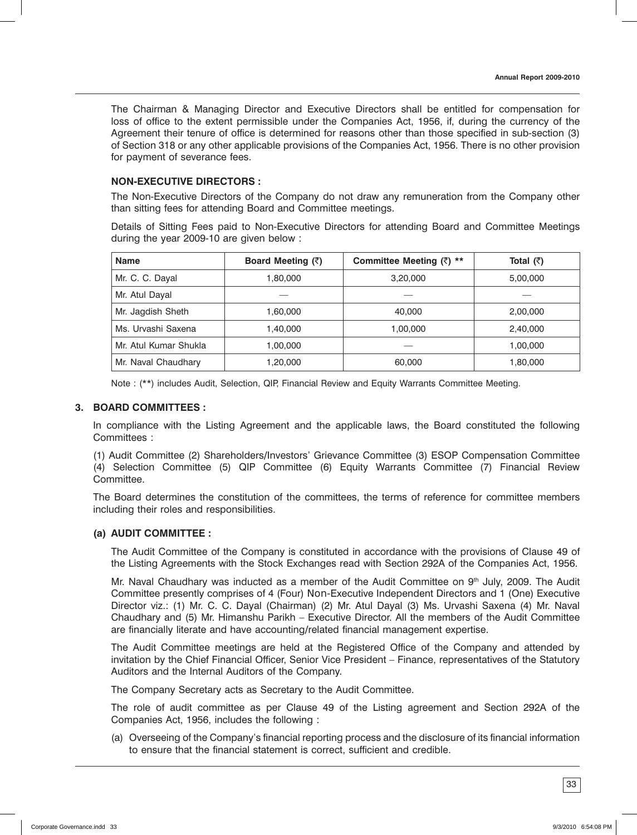The Chairman & Managing Director and Executive Directors shall be entitled for compensation for loss of office to the extent permissible under the Companies Act, 1956, if, during the currency of the Agreement their tenure of office is determined for reasons other than those specified in sub-section (3) of Section 318 or any other applicable provisions of the Companies Act, 1956. There is no other provision for payment of severance fees.

## **NON-EXECUTIVE DIRECTORS :**

 The Non-Executive Directors of the Company do not draw any remuneration from the Company other than sitting fees for attending Board and Committee meetings.

 Details of Sitting Fees paid to Non-Executive Directors for attending Board and Committee Meetings during the year 2009-10 are given below :

| <b>Name</b>           | Board Meeting (₹) | Committee Meeting $(\bar{z})$ ** | Total $(3)$ |
|-----------------------|-------------------|----------------------------------|-------------|
| Mr. C. C. Dayal       | 1,80,000          | 3,20,000                         | 5,00,000    |
| Mr. Atul Dayal        |                   |                                  |             |
| Mr. Jagdish Sheth     | 1,60,000          | 40,000                           | 2,00,000    |
| Ms. Urvashi Saxena    | 1,40,000          | 1,00,000                         | 2,40,000    |
| Mr. Atul Kumar Shukla | 1,00,000          |                                  | 1,00,000    |
| Mr. Naval Chaudhary   | 1,20,000          | 60,000                           | 1,80,000    |

Note : (\*\*) includes Audit, Selection, QIP, Financial Review and Equity Warrants Committee Meeting.

## **3. BOARD COMMITTEES :**

In compliance with the Listing Agreement and the applicable laws, the Board constituted the following Committees :

(1) Audit Committee (2) Shareholders/Investors' Grievance Committee (3) ESOP Compensation Committee (4) Selection Committee (5) QIP Committee (6) Equity Warrants Committee (7) Financial Review Committee.

The Board determines the constitution of the committees, the terms of reference for committee members including their roles and responsibilities.

## **(a) AUDIT COMMITTEE :**

 The Audit Committee of the Company is constituted in accordance with the provisions of Clause 49 of the Listing Agreements with the Stock Exchanges read with Section 292A of the Companies Act, 1956.

Mr. Naval Chaudhary was inducted as a member of the Audit Committee on  $9<sup>th</sup>$  July, 2009. The Audit Committee presently comprises of 4 (Four) Non-Executive Independent Directors and 1 (One) Executive Director viz.: (1) Mr. C. C. Dayal (Chairman) (2) Mr. Atul Dayal (3) Ms. Urvashi Saxena (4) Mr. Naval Chaudhary and (5) Mr. Himanshu Parikh – Executive Director. All the members of the Audit Committee are financially literate and have accounting/related financial management expertise.

 The Audit Committee meetings are held at the Registered Office of the Company and attended by invitation by the Chief Financial Officer, Senior Vice President – Finance, representatives of the Statutory Auditors and the Internal Auditors of the Company.

The Company Secretary acts as Secretary to the Audit Committee.

 The role of audit committee as per Clause 49 of the Listing agreement and Section 292A of the Companies Act, 1956, includes the following :

 (a) Overseeing of the Company's financial reporting process and the disclosure of its financial information to ensure that the financial statement is correct, sufficient and credible.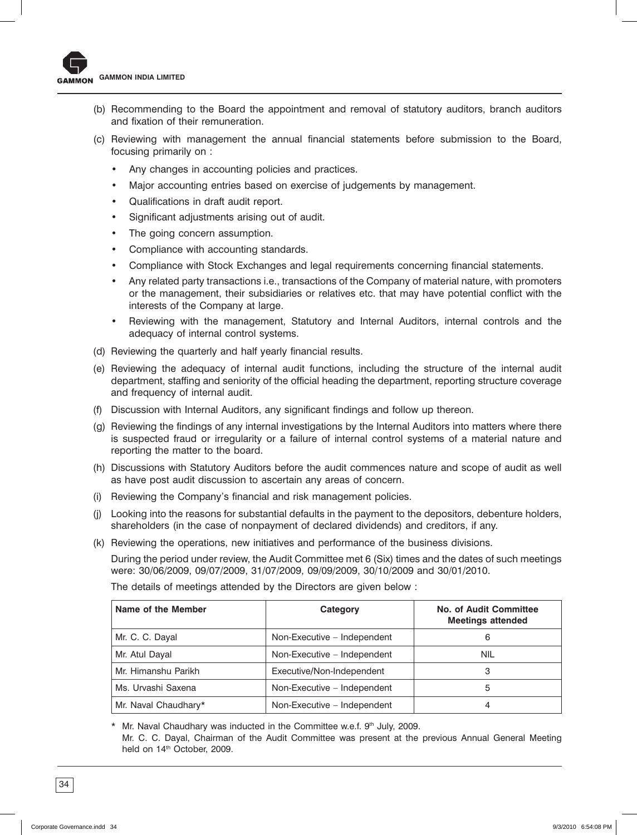- (b) Recommending to the Board the appointment and removal of statutory auditors, branch auditors and fixation of their remuneration.
- (c) Reviewing with management the annual financial statements before submission to the Board, focusing primarily on :
	- Any changes in accounting policies and practices.
	- Major accounting entries based on exercise of judgements by management.
	- Qualifications in draft audit report.
	- • Significant adjustments arising out of audit.
	- The going concern assumption.
	- • Compliance with accounting standards.
	- Compliance with Stock Exchanges and legal requirements concerning financial statements.
	- • Any related party transactions i.e., transactions of the Company of material nature, with promoters or the management, their subsidiaries or relatives etc. that may have potential conflict with the interests of the Company at large.
	- • Reviewing with the management, Statutory and Internal Auditors, internal controls and the adequacy of internal control systems.
- (d) Reviewing the quarterly and half yearly financial results.
- (e) Reviewing the adequacy of internal audit functions, including the structure of the internal audit department, staffing and seniority of the official heading the department, reporting structure coverage and frequency of internal audit.
- (f) Discussion with Internal Auditors, any significant findings and follow up thereon.
- (g) Reviewing the findings of any internal investigations by the Internal Auditors into matters where there is suspected fraud or irregularity or a failure of internal control systems of a material nature and reporting the matter to the board.
- (h) Discussions with Statutory Auditors before the audit commences nature and scope of audit as well as have post audit discussion to ascertain any areas of concern.
- (i) Reviewing the Company's financial and risk management policies.
- (j) Looking into the reasons for substantial defaults in the payment to the depositors, debenture holders, shareholders (in the case of nonpayment of declared dividends) and creditors, if any.
- (k) Reviewing the operations, new initiatives and performance of the business divisions.

 During the period under review, the Audit Committee met 6 (Six) times and the dates of such meetings were: 30/06/2009, 09/07/2009, 31/07/2009, 09/09/2009, 30/10/2009 and 30/01/2010.

The details of meetings attended by the Directors are given below :

| Name of the Member   | Category                    | <b>No. of Audit Committee</b><br><b>Meetings attended</b> |  |
|----------------------|-----------------------------|-----------------------------------------------------------|--|
| Mr. C. C. Dayal      | Non-Executive – Independent | 6                                                         |  |
| Mr. Atul Dayal       | Non-Executive - Independent | <b>NIL</b>                                                |  |
| Mr. Himanshu Parikh  | Executive/Non-Independent   | 3                                                         |  |
| Ms. Urvashi Saxena   | Non-Executive - Independent | 5                                                         |  |
| Mr. Naval Chaudhary* | Non-Executive - Independent | 4                                                         |  |

\* Mr. Naval Chaudhary was inducted in the Committee w.e.f. 9th July, 2009.

 Mr. C. C. Dayal, Chairman of the Audit Committee was present at the previous Annual General Meeting held on 14<sup>th</sup> October, 2009.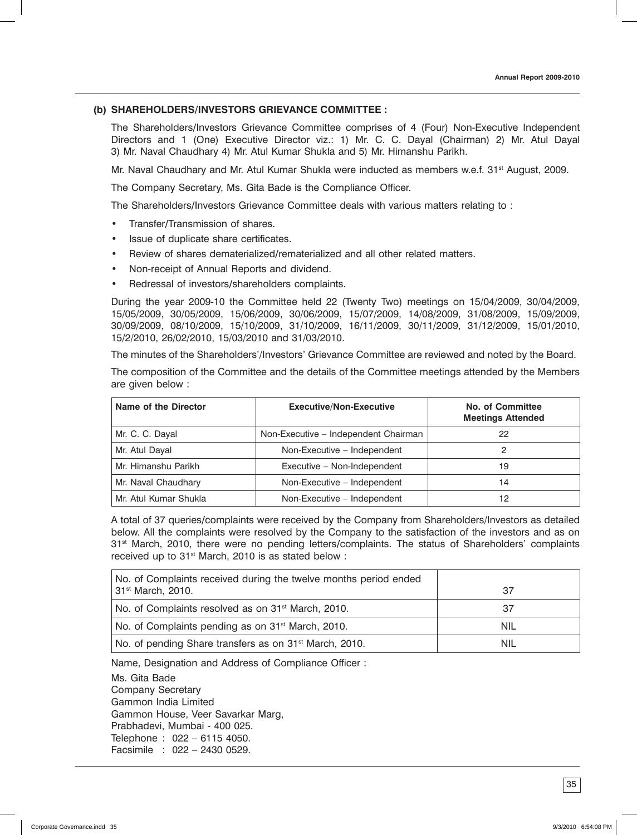## **(b) SHAREHOLDERS**/**INVESTORS GRIEVANCE COMMITTEE :**

 The Shareholders/Investors Grievance Committee comprises of 4 (Four) Non-Executive Independent Directors and 1 (One) Executive Director viz.: 1) Mr. C. C. Dayal (Chairman) 2) Mr. Atul Dayal 3) Mr. Naval Chaudhary 4) Mr. Atul Kumar Shukla and 5) Mr. Himanshu Parikh.

Mr. Naval Chaudhary and Mr. Atul Kumar Shukla were inducted as members w.e.f. 31<sup>st</sup> August, 2009.

The Company Secretary, Ms. Gita Bade is the Compliance Officer.

The Shareholders/Investors Grievance Committee deals with various matters relating to :

- Transfer/Transmission of shares.
- • Issue of duplicate share certificates.
- Review of shares dematerialized/rematerialized and all other related matters.
- Non-receipt of Annual Reports and dividend.
- Redressal of investors/shareholders complaints.

 During the year 2009-10 the Committee held 22 (Twenty Two) meetings on 15/04/2009, 30/04/2009, 15/05/2009, 30/05/2009, 15/06/2009, 30/06/2009, 15/07/2009, 14/08/2009, 31/08/2009, 15/09/2009, 30/09/2009, 08/10/2009, 15/10/2009, 31/10/2009, 16/11/2009, 30/11/2009, 31/12/2009, 15/01/2010, 15/2/2010, 26/02/2010, 15/03/2010 and 31/03/2010.

The minutes of the Shareholders'/Investors' Grievance Committee are reviewed and noted by the Board.

 The composition of the Committee and the details of the Committee meetings attended by the Members are given below :

| Name of the Director                                 | <b>Executive/Non-Executive</b>       | No. of Committee<br><b>Meetings Attended</b> |
|------------------------------------------------------|--------------------------------------|----------------------------------------------|
| Mr. C. C. Dayal                                      | Non-Executive - Independent Chairman | 22                                           |
| Mr. Atul Dayal                                       | Non-Executive - Independent          |                                              |
| Mr. Himanshu Parikh                                  | Executive - Non-Independent          | 19                                           |
| Mr. Naval Chaudhary                                  | Non-Executive - Independent          |                                              |
| Mr. Atul Kumar Shukla<br>Non-Executive - Independent |                                      | 12                                           |

 A total of 37 queries/complaints were received by the Company from Shareholders/Investors as detailed below. All the complaints were resolved by the Company to the satisfaction of the investors and as on 31<sup>st</sup> March, 2010, there were no pending letters/complaints. The status of Shareholders' complaints received up to 31<sup>st</sup> March, 2010 is as stated below :

| No. of Complaints received during the twelve months period ended<br>31 <sup>st</sup> March, 2010. | 37         |
|---------------------------------------------------------------------------------------------------|------------|
| No. of Complaints resolved as on 31 <sup>st</sup> March, 2010.                                    | 37         |
| No. of Complaints pending as on 31 <sup>st</sup> March, 2010.                                     | NIL        |
| No. of pending Share transfers as on 31 <sup>st</sup> March, 2010.                                | <b>NIL</b> |

Name, Designation and Address of Compliance Officer :

 Ms. Gita Bade Company Secretary Gammon India Limited Gammon House, Veer Savarkar Marg, Prabhadevi, Mumbai - 400 025. Telephone : 022 – 6115 4050. Facsimile : 022 – 2430 0529.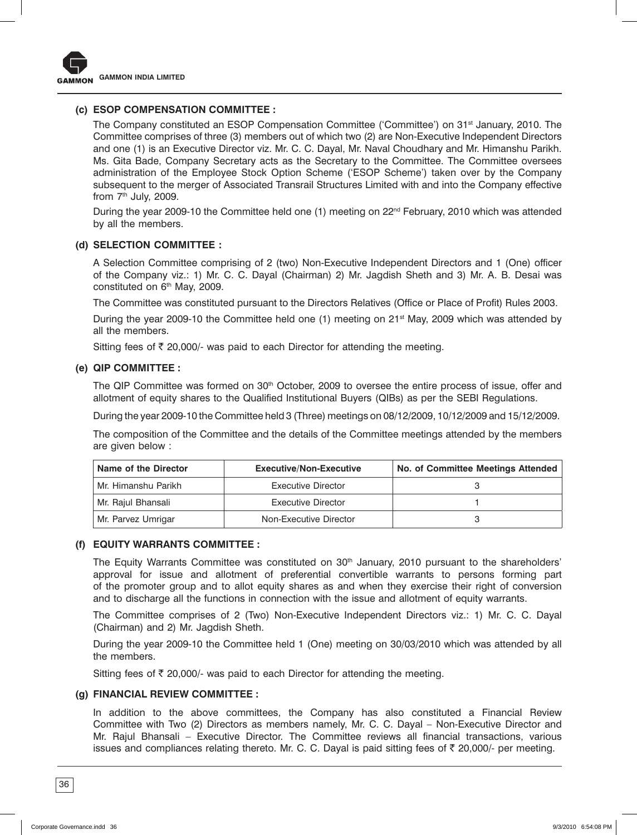

## **(c) ESOP COMPENSATION COMMITTEE :**

The Company constituted an ESOP Compensation Committee ('Committee') on 31<sup>st</sup> January, 2010. The Committee comprises of three (3) members out of which two (2) are Non-Executive Independent Directors and one (1) is an Executive Director viz. Mr. C. C. Dayal, Mr. Naval Choudhary and Mr. Himanshu Parikh. Ms. Gita Bade, Company Secretary acts as the Secretary to the Committee. The Committee oversees administration of the Employee Stock Option Scheme ('ESOP Scheme') taken over by the Company subsequent to the merger of Associated Transrail Structures Limited with and into the Company effective from  $7<sup>th</sup>$  July, 2009.

During the year 2009-10 the Committee held one (1) meeting on  $22<sup>nd</sup>$  February, 2010 which was attended by all the members.

## **(d) SELECTION COMMITTEE :**

 A Selection Committee comprising of 2 (two) Non-Executive Independent Directors and 1 (One) officer of the Company viz.: 1) Mr. C. C. Dayal (Chairman) 2) Mr. Jagdish Sheth and 3) Mr. A. B. Desai was constituted on 6<sup>th</sup> May, 2009.

The Committee was constituted pursuant to the Directors Relatives (Office or Place of Profit) Rules 2003.

During the year 2009-10 the Committee held one (1) meeting on  $21<sup>st</sup>$  May, 2009 which was attended by all the members.

Sitting fees of  $\bar{\tau}$  20,000/- was paid to each Director for attending the meeting.

#### **(e) QIP COMMITTEE :**

The QIP Committee was formed on  $30<sup>th</sup>$  October, 2009 to oversee the entire process of issue, offer and allotment of equity shares to the Qualified Institutional Buyers (QIBs) as per the SEBI Regulations.

During the year 2009-10 the Committee held 3 (Three) meetings on 08/12/2009, 10/12/2009 and 15/12/2009.

 The composition of the Committee and the details of the Committee meetings attended by the members are given below :

| Name of the Director | <b>Executive/Non-Executive</b> | No. of Committee Meetings Attended |
|----------------------|--------------------------------|------------------------------------|
| Mr. Himanshu Parikh  | Executive Director             |                                    |
| Mr. Rajul Bhansali   | Executive Director             |                                    |
| Mr. Parvez Umrigar   | Non-Executive Director         |                                    |

#### **(f) EQUITY WARRANTS COMMITTEE :**

The Equity Warrants Committee was constituted on 30<sup>th</sup> January, 2010 pursuant to the shareholders' approval for issue and allotment of preferential convertible warrants to persons forming part of the promoter group and to allot equity shares as and when they exercise their right of conversion and to discharge all the functions in connection with the issue and allotment of equity warrants.

 The Committee comprises of 2 (Two) Non-Executive Independent Directors viz.: 1) Mr. C. C. Dayal (Chairman) and 2) Mr. Jagdish Sheth.

During the year 2009-10 the Committee held 1 (One) meeting on 30/03/2010 which was attended by all the members.

Sitting fees of  $\bar{\tau}$  20,000/- was paid to each Director for attending the meeting.

#### **(g) FINANCIAL REVIEW COMMITTEE :**

 In addition to the above committees, the Company has also constituted a Financial Review Committee with Two (2) Directors as members namely, Mr. C. C. Dayal – Non-Executive Director and Mr. Rajul Bhansali – Executive Director. The Committee reviews all financial transactions, various issues and compliances relating thereto. Mr. C. C. Dayal is paid sitting fees of  $\bar{\tau}$  20,000/- per meeting.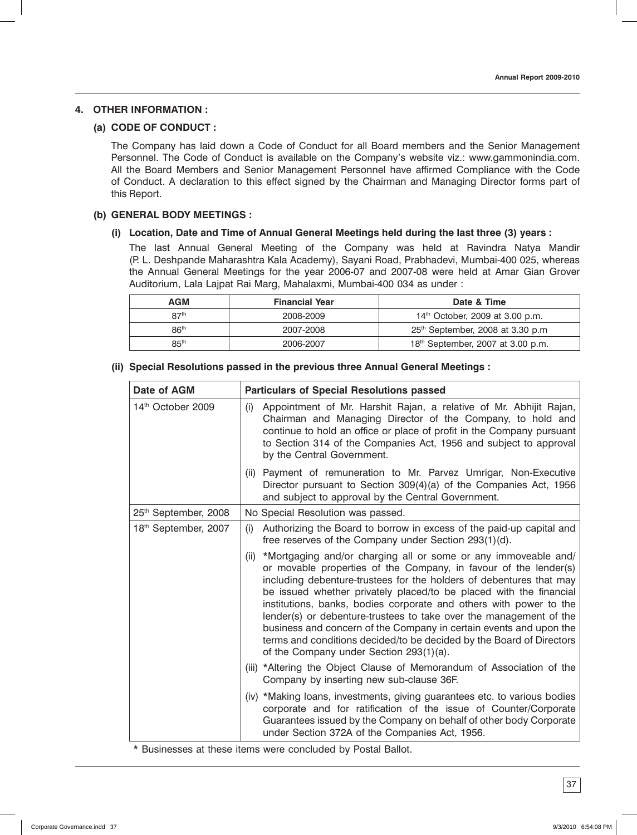## **4. OTHER INFORMATION :**

#### **(a) CODE OF CONDUCT :**

 The Company has laid down a Code of Conduct for all Board members and the Senior Management Personnel. The Code of Conduct is available on the Company's website viz.: www.gammonindia.com. All the Board Members and Senior Management Personnel have affirmed Compliance with the Code of Conduct. A declaration to this effect signed by the Chairman and Managing Director forms part of this Report.

#### **(b) GENERAL BODY MEETINGS :**

#### **(i) Location, Date and Time of Annual General Meetings held during the last three (3) years :**

 The last Annual General Meeting of the Company was held at Ravindra Natya Mandir (P. L. Deshpande Maharashtra Kala Academy), Sayani Road, Prabhadevi, Mumbai-400 025, whereas the Annual General Meetings for the year 2006-07 and 2007-08 were held at Amar Gian Grover Auditorium, Lala Lajpat Rai Marg, Mahalaxmi, Mumbai-400 034 as under :

| <b>AGM</b>       | <b>Financial Year</b> | Date & Time                                   |
|------------------|-----------------------|-----------------------------------------------|
| R7 <sup>th</sup> | 2008-2009             | 14 <sup>th</sup> October, 2009 at 3.00 p.m.   |
| 86 <sup>th</sup> | 2007-2008             | 25 <sup>th</sup> September, 2008 at 3.30 p.m  |
| 85 <sup>th</sup> | 2006-2007             | 18 <sup>th</sup> September, 2007 at 3.00 p.m. |

| Date of AGM          | <b>Particulars of Special Resolutions passed</b>                                                                                                                                                                                                                                                                                                                                                                                                                                                                                                                                                                          |  |  |
|----------------------|---------------------------------------------------------------------------------------------------------------------------------------------------------------------------------------------------------------------------------------------------------------------------------------------------------------------------------------------------------------------------------------------------------------------------------------------------------------------------------------------------------------------------------------------------------------------------------------------------------------------------|--|--|
| 14th October 2009    | Appointment of Mr. Harshit Rajan, a relative of Mr. Abhijit Rajan,<br>(i)<br>Chairman and Managing Director of the Company, to hold and<br>continue to hold an office or place of profit in the Company pursuant<br>to Section 314 of the Companies Act, 1956 and subject to approval<br>by the Central Government.                                                                                                                                                                                                                                                                                                       |  |  |
|                      | (ii) Payment of remuneration to Mr. Parvez Umrigar, Non-Executive<br>Director pursuant to Section 309(4)(a) of the Companies Act, 1956<br>and subject to approval by the Central Government.                                                                                                                                                                                                                                                                                                                                                                                                                              |  |  |
| 25th September, 2008 | No Special Resolution was passed.                                                                                                                                                                                                                                                                                                                                                                                                                                                                                                                                                                                         |  |  |
| 18th September, 2007 | Authorizing the Board to borrow in excess of the paid-up capital and<br>(i)<br>free reserves of the Company under Section 293(1)(d).                                                                                                                                                                                                                                                                                                                                                                                                                                                                                      |  |  |
|                      | (ii) *Mortgaging and/or charging all or some or any immoveable and/<br>or movable properties of the Company, in favour of the lender(s)<br>including debenture-trustees for the holders of debentures that may<br>be issued whether privately placed/to be placed with the financial<br>institutions, banks, bodies corporate and others with power to the<br>lender(s) or debenture-trustees to take over the management of the<br>business and concern of the Company in certain events and upon the<br>terms and conditions decided/to be decided by the Board of Directors<br>of the Company under Section 293(1)(a). |  |  |
|                      | (iii) *Altering the Object Clause of Memorandum of Association of the<br>Company by inserting new sub-clause 36F.                                                                                                                                                                                                                                                                                                                                                                                                                                                                                                         |  |  |
|                      | (iv) *Making loans, investments, giving guarantees etc. to various bodies<br>corporate and for ratification of the issue of Counter/Corporate<br>Guarantees issued by the Company on behalf of other body Corporate<br>under Section 372A of the Companies Act, 1956.                                                                                                                                                                                                                                                                                                                                                     |  |  |

#### **(ii) Special Resolutions passed in the previous three Annual General Meetings :**

\* Businesses at these items were concluded by Postal Ballot.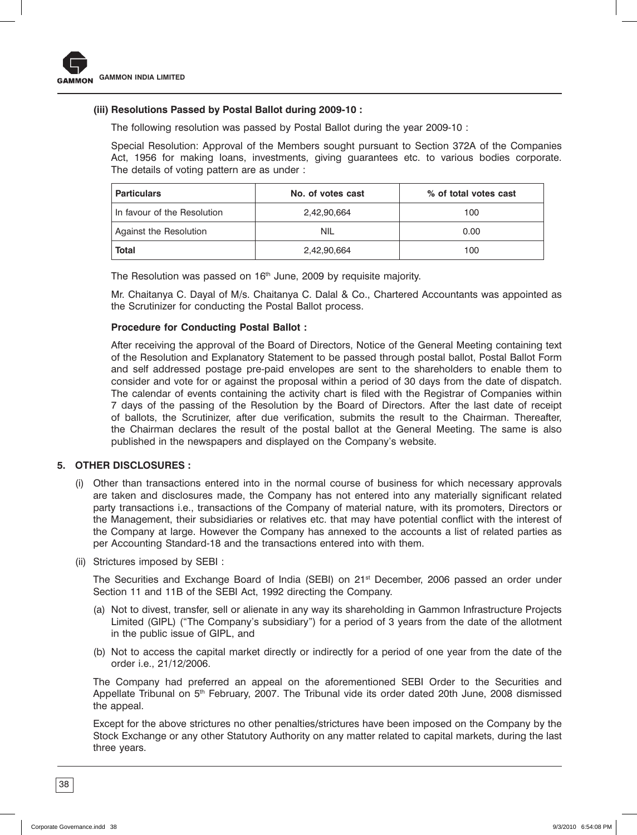

#### **(iii) Resolutions Passed by Postal Ballot during 2009-10 :**

The following resolution was passed by Postal Ballot during the year 2009-10 :

 Special Resolution: Approval of the Members sought pursuant to Section 372A of the Companies Act, 1956 for making loans, investments, giving guarantees etc. to various bodies corporate. The details of voting pattern are as under :

| <b>Particulars</b>          | No. of votes cast | % of total votes cast |  |
|-----------------------------|-------------------|-----------------------|--|
| In favour of the Resolution | 2,42,90,664       | 100                   |  |
| Against the Resolution      | <b>NIL</b>        | 0.00                  |  |
| Total                       | 2,42,90,664       | 100                   |  |

The Resolution was passed on 16<sup>th</sup> June, 2009 by requisite majority.

 Mr. Chaitanya C. Dayal of M/s. Chaitanya C. Dalal & Co., Chartered Accountants was appointed as the Scrutinizer for conducting the Postal Ballot process.

#### **Procedure for Conducting Postal Ballot :**

 After receiving the approval of the Board of Directors, Notice of the General Meeting containing text of the Resolution and Explanatory Statement to be passed through postal ballot, Postal Ballot Form and self addressed postage pre-paid envelopes are sent to the shareholders to enable them to consider and vote for or against the proposal within a period of 30 days from the date of dispatch. The calendar of events containing the activity chart is filed with the Registrar of Companies within 7 days of the passing of the Resolution by the Board of Directors. After the last date of receipt of ballots, the Scrutinizer, after due verification, submits the result to the Chairman. Thereafter, the Chairman declares the result of the postal ballot at the General Meeting. The same is also published in the newspapers and displayed on the Company's website.

#### **5. OTHER DISCLOSURES :**

- (i) Other than transactions entered into in the normal course of business for which necessary approvals are taken and disclosures made, the Company has not entered into any materially significant related party transactions i.e., transactions of the Company of material nature, with its promoters, Directors or the Management, their subsidiaries or relatives etc. that may have potential conflict with the interest of the Company at large. However the Company has annexed to the accounts a list of related parties as per Accounting Standard-18 and the transactions entered into with them.
- (ii) Strictures imposed by SEBI :

The Securities and Exchange Board of India (SEBI) on 21<sup>st</sup> December, 2006 passed an order under Section 11 and 11B of the SEBI Act, 1992 directing the Company.

- (a) Not to divest, transfer, sell or alienate in any way its shareholding in Gammon Infrastructure Projects Limited (GIPL) ("The Company's subsidiary") for a period of 3 years from the date of the allotment in the public issue of GIPL, and
- (b) Not to access the capital market directly or indirectly for a period of one year from the date of the order i.e., 21/12/2006.

 The Company had preferred an appeal on the aforementioned SEBI Order to the Securities and Appellate Tribunal on 5<sup>th</sup> February, 2007. The Tribunal vide its order dated 20th June, 2008 dismissed the appeal.

 Except for the above strictures no other penalties/strictures have been imposed on the Company by the Stock Exchange or any other Statutory Authority on any matter related to capital markets, during the last three years.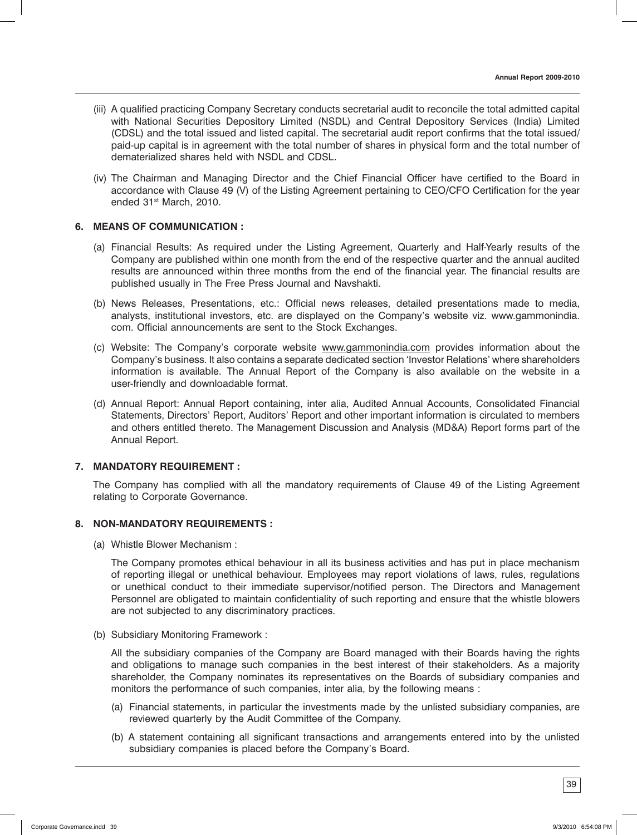- (iii) A qualified practicing Company Secretary conducts secretarial audit to reconcile the total admitted capital with National Securities Depository Limited (NSDL) and Central Depository Services (India) Limited (CDSL) and the total issued and listed capital. The secretarial audit report confirms that the total issued/ paid-up capital is in agreement with the total number of shares in physical form and the total number of dematerialized shares held with NSDL and CDSL.
- (iv) The Chairman and Managing Director and the Chief Financial Officer have certified to the Board in accordance with Clause 49 (V) of the Listing Agreement pertaining to CEO/CFO Certification for the year ended 31st March, 2010.

## **6. MEANS OF COMMUNICATION :**

- (a) Financial Results: As required under the Listing Agreement, Quarterly and Half-Yearly results of the Company are published within one month from the end of the respective quarter and the annual audited results are announced within three months from the end of the financial year. The financial results are published usually in The Free Press Journal and Navshakti.
- (b) News Releases, Presentations, etc.: Official news releases, detailed presentations made to media, analysts, institutional investors, etc. are displayed on the Company's website viz. www.gammonindia. com. Official announcements are sent to the Stock Exchanges.
- (c) Website: The Company's corporate website www.gammonindia.com provides information about the Company's business. It also contains a separate dedicated section 'Investor Relations' where shareholders information is available. The Annual Report of the Company is also available on the website in a user-friendly and downloadable format.
- (d) Annual Report: Annual Report containing, inter alia, Audited Annual Accounts, Consolidated Financial Statements, Directors' Report, Auditors' Report and other important information is circulated to members and others entitled thereto. The Management Discussion and Analysis (MD&A) Report forms part of the Annual Report.

#### **7. MANDATORY REQUIREMENT :**

The Company has complied with all the mandatory requirements of Clause 49 of the Listing Agreement relating to Corporate Governance.

## **8. NON-MANDATORY REQUIREMENTS :**

(a) Whistle Blower Mechanism :

 The Company promotes ethical behaviour in all its business activities and has put in place mechanism of reporting illegal or unethical behaviour. Employees may report violations of laws, rules, regulations or unethical conduct to their immediate supervisor/notified person. The Directors and Management Personnel are obligated to maintain confidentiality of such reporting and ensure that the whistle blowers are not subjected to any discriminatory practices.

(b) Subsidiary Monitoring Framework :

 All the subsidiary companies of the Company are Board managed with their Boards having the rights and obligations to manage such companies in the best interest of their stakeholders. As a majority shareholder, the Company nominates its representatives on the Boards of subsidiary companies and monitors the performance of such companies, inter alia, by the following means :

- (a) Financial statements, in particular the investments made by the unlisted subsidiary companies, are reviewed quarterly by the Audit Committee of the Company.
- (b) A statement containing all significant transactions and arrangements entered into by the unlisted subsidiary companies is placed before the Company's Board.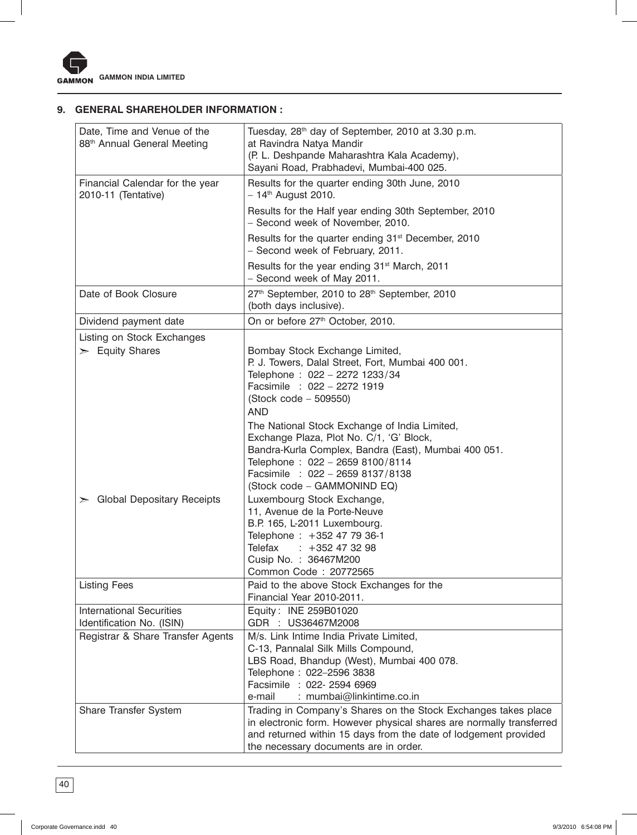

## **9. GENERAL SHAREHOLDER INFORMATION :**

| Date, Time and Venue of the<br>88 <sup>th</sup> Annual General Meeting | Tuesday, 28 <sup>th</sup> day of September, 2010 at 3.30 p.m.<br>at Ravindra Natya Mandir<br>(P. L. Deshpande Maharashtra Kala Academy),<br>Sayani Road, Prabhadevi, Mumbai-400 025.                                                                    |
|------------------------------------------------------------------------|---------------------------------------------------------------------------------------------------------------------------------------------------------------------------------------------------------------------------------------------------------|
| Financial Calendar for the year<br>2010-11 (Tentative)                 | Results for the quarter ending 30th June, 2010<br>$-14$ <sup>th</sup> August 2010.                                                                                                                                                                      |
|                                                                        | Results for the Half year ending 30th September, 2010<br>- Second week of November, 2010.                                                                                                                                                               |
|                                                                        | Results for the quarter ending 31 <sup>st</sup> December, 2010<br>- Second week of February, 2011.                                                                                                                                                      |
|                                                                        | Results for the year ending 31 <sup>st</sup> March, 2011<br>- Second week of May 2011.                                                                                                                                                                  |
| Date of Book Closure                                                   | 27th September, 2010 to 28th September, 2010<br>(both days inclusive).                                                                                                                                                                                  |
| Dividend payment date                                                  | On or before 27th October, 2010.                                                                                                                                                                                                                        |
| Listing on Stock Exchanges                                             |                                                                                                                                                                                                                                                         |
| $\geq$ Equity Shares                                                   | Bombay Stock Exchange Limited,<br>P. J. Towers, Dalal Street, Fort, Mumbai 400 001.<br>Telephone: 022 - 2272 1233/34<br>Facsimile : 022 - 2272 1919<br>$(Stock code - 509550)$<br><b>AND</b>                                                            |
|                                                                        | The National Stock Exchange of India Limited,<br>Exchange Plaza, Plot No. C/1, 'G' Block,<br>Bandra-Kurla Complex, Bandra (East), Mumbai 400 051.<br>Telephone: 022 - 2659 8100/8114<br>Facsimile : 022 - 2659 8137/8138<br>(Stock code - GAMMONIND EQ) |
| $\triangleright$ Global Depositary Receipts                            | Luxembourg Stock Exchange,<br>11, Avenue de la Porte-Neuve<br>B.P. 165, L-2011 Luxembourg.<br>Telephone: +352 47 79 36-1<br>Telefax<br>$: +352473298$<br>Cusip No.: 36467M200<br>Common Code: 20772565                                                  |
| <b>Listing Fees</b>                                                    | Paid to the above Stock Exchanges for the<br>Financial Year 2010-2011.                                                                                                                                                                                  |
| <b>International Securities</b><br>Identification No. (ISIN)           | Equity: INE 259B01020<br>GDR : US36467M2008                                                                                                                                                                                                             |
| Registrar & Share Transfer Agents                                      | M/s. Link Intime India Private Limited,<br>C-13, Pannalal Silk Mills Compound,<br>LBS Road, Bhandup (West), Mumbai 400 078.<br>Telephone: 022-2596 3838<br>Facsimile : 022- 2594 6969<br>: mumbai@linkintime.co.in<br>e-mail                            |
| Share Transfer System                                                  | Trading in Company's Shares on the Stock Exchanges takes place<br>in electronic form. However physical shares are normally transferred<br>and returned within 15 days from the date of lodgement provided<br>the necessary documents are in order.      |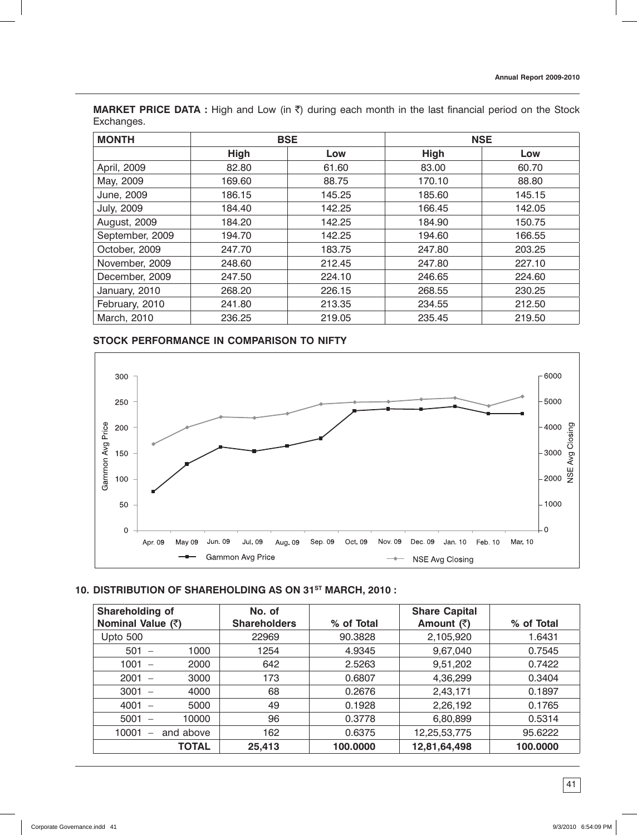**MARKET PRICE DATA :** High and Low (in ₹) during each month in the last financial period on the Stock Exchanges.

| <b>MONTH</b>      | <b>BSE</b>  |        |        | <b>NSE</b> |
|-------------------|-------------|--------|--------|------------|
|                   | <b>High</b> | Low    | High   | Low        |
| April, 2009       | 82.80       | 61.60  | 83.00  | 60.70      |
| May, 2009         | 169.60      | 88.75  | 170.10 | 88.80      |
| June, 2009        | 186.15      | 145.25 | 185.60 | 145.15     |
| <b>July, 2009</b> | 184.40      | 142.25 | 166.45 | 142.05     |
| August, 2009      | 184.20      | 142.25 | 184.90 | 150.75     |
| September, 2009   | 194.70      | 142.25 | 194.60 | 166.55     |
| October, 2009     | 247.70      | 183.75 | 247.80 | 203.25     |
| November, 2009    | 248.60      | 212.45 | 247.80 | 227.10     |
| December, 2009    | 247.50      | 224.10 | 246.65 | 224.60     |
| January, 2010     | 268.20      | 226.15 | 268.55 | 230.25     |
| February, 2010    | 241.80      | 213.35 | 234.55 | 212.50     |
| March, 2010       | 236.25      | 219.05 | 235.45 | 219.50     |

## **STOCK PERFORMANCE IN COMPARISON TO NIFTY**



## **10. DISTRIBUTION OF SHAREHOLDING AS ON 31ST MARCH, 2010 :**

| Shareholding of<br>Nominal Value (₹) |           | No. of<br><b>Shareholders</b> | % of Total | <b>Share Capital</b><br>Amount (₹) | % of Total |
|--------------------------------------|-----------|-------------------------------|------------|------------------------------------|------------|
| <b>Upto 500</b>                      |           | 22969                         | 90.3828    | 2,105,920                          | 1.6431     |
| $501 -$                              | 1000      | 1254                          | 4.9345     | 9,67,040                           | 0.7545     |
| $1001 -$                             | 2000      | 642                           | 2.5263     | 9,51,202                           | 0.7422     |
| $2001 -$                             | 3000      | 173                           | 0.6807     | 4,36,299                           | 0.3404     |
| $3001 -$                             | 4000      | 68                            | 0.2676     | 2,43,171                           | 0.1897     |
| $4001 -$                             | 5000      | 49                            | 0.1928     | 2,26,192                           | 0.1765     |
| 5001<br>$\overline{\phantom{m}}$     | 10000     | 96                            | 0.3778     | 6,80,899                           | 0.5314     |
| 10001<br>$\overline{\phantom{0}}$    | and above | 162                           | 0.6375     | 12,25,53,775                       | 95.6222    |
|                                      | TOTAL     | 25,413                        | 100,0000   | 12,81,64,498                       | 100.0000   |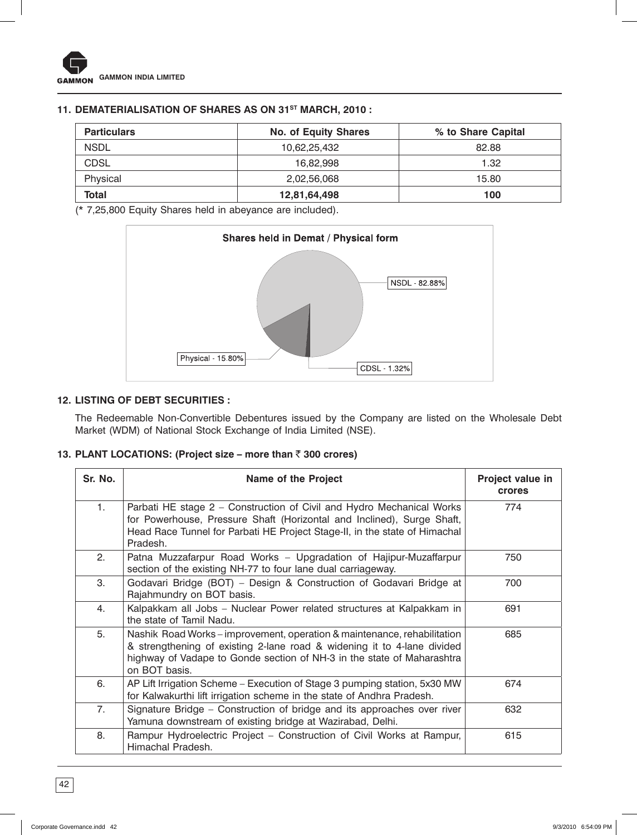## 11. DEMATERIALISATION OF SHARES AS ON 31<sup>ST</sup> MARCH, 2010 :

| <b>Particulars</b> | <b>No. of Equity Shares</b> | % to Share Capital |
|--------------------|-----------------------------|--------------------|
| <b>NSDL</b>        | 10,62,25,432                | 82.88              |
| CDSL               | 16.82.998                   | 1.32               |
| Physical           | 2,02,56,068                 | 15.80              |
| Total              | 12,81,64,498                | 100                |

(\* 7,25,800 Equity Shares held in abeyance are included).



## **12. LISTING OF DEBT SECURITIES :**

The Redeemable Non-Convertible Debentures issued by the Company are listed on the Wholesale Debt Market (WDM) of National Stock Exchange of India Limited (NSE).

# **13. PLANT LOCATIONS: (Project size – more than** ` **300 crores)**

| Sr. No. | <b>Name of the Project</b>                                                                                                                                                                                                                     | Project value in<br><b>crores</b> |
|---------|------------------------------------------------------------------------------------------------------------------------------------------------------------------------------------------------------------------------------------------------|-----------------------------------|
| 1.      | Parbati HE stage 2 - Construction of Civil and Hydro Mechanical Works<br>for Powerhouse, Pressure Shaft (Horizontal and Inclined), Surge Shaft,<br>Head Race Tunnel for Parbati HE Project Stage-II, in the state of Himachal<br>Pradesh.      | 774                               |
| 2.      | Patna Muzzafarpur Road Works - Upgradation of Hajipur-Muzaffarpur<br>section of the existing NH-77 to four lane dual carriageway.                                                                                                              | 750                               |
| 3.      | Godavari Bridge (BOT) – Design & Construction of Godavari Bridge at<br>Rajahmundry on BOT basis.                                                                                                                                               | 700                               |
| 4.      | Kalpakkam all Jobs - Nuclear Power related structures at Kalpakkam in<br>the state of Tamil Nadu.                                                                                                                                              | 691                               |
| 5.      | Nashik Road Works – improvement, operation & maintenance, rehabilitation<br>& strengthening of existing 2-lane road & widening it to 4-lane divided<br>highway of Vadape to Gonde section of NH-3 in the state of Maharashtra<br>on BOT basis. | 685                               |
| 6.      | AP Lift Irrigation Scheme - Execution of Stage 3 pumping station, 5x30 MW<br>for Kalwakurthi lift irrigation scheme in the state of Andhra Pradesh.                                                                                            | 674                               |
| 7.      | Signature Bridge – Construction of bridge and its approaches over river<br>Yamuna downstream of existing bridge at Wazirabad, Delhi.                                                                                                           | 632                               |
| 8.      | Rampur Hydroelectric Project - Construction of Civil Works at Rampur,<br>Himachal Pradesh.                                                                                                                                                     | 615                               |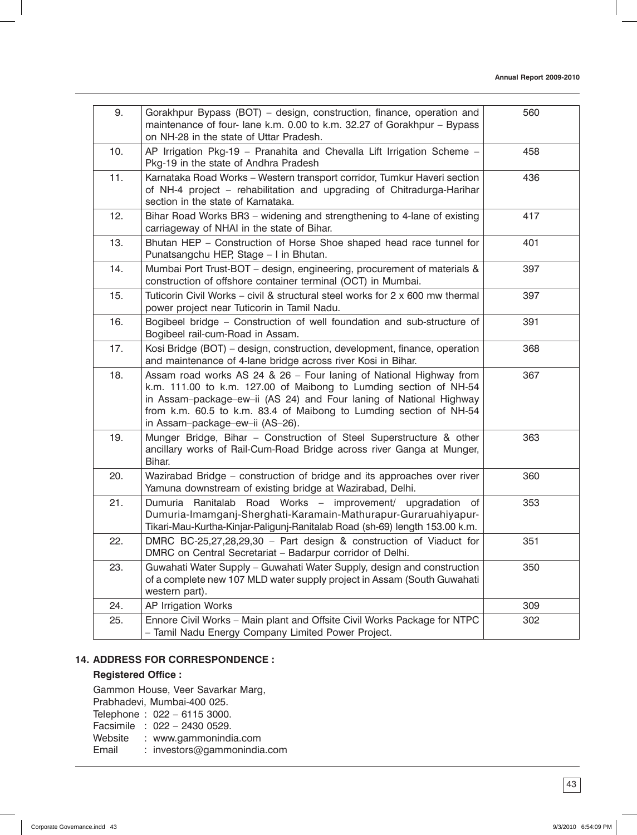| 9.  | Gorakhpur Bypass (BOT) - design, construction, finance, operation and<br>maintenance of four-lane k.m. 0.00 to k.m. 32.27 of Gorakhpur - Bypass<br>on NH-28 in the state of Uttar Pradesh.                                                                                                                             | 560 |
|-----|------------------------------------------------------------------------------------------------------------------------------------------------------------------------------------------------------------------------------------------------------------------------------------------------------------------------|-----|
| 10. | AP Irrigation Pkg-19 - Pranahita and Chevalla Lift Irrigation Scheme -<br>Pkg-19 in the state of Andhra Pradesh                                                                                                                                                                                                        | 458 |
| 11. | Karnataka Road Works - Western transport corridor, Tumkur Haveri section<br>of NH-4 project - rehabilitation and upgrading of Chitradurga-Harihar<br>section in the state of Karnataka.                                                                                                                                | 436 |
| 12. | Bihar Road Works BR3 - widening and strengthening to 4-lane of existing<br>carriageway of NHAI in the state of Bihar.                                                                                                                                                                                                  | 417 |
| 13. | Bhutan HEP - Construction of Horse Shoe shaped head race tunnel for<br>Punatsangchu HEP, Stage - I in Bhutan.                                                                                                                                                                                                          | 401 |
| 14. | Mumbai Port Trust-BOT - design, engineering, procurement of materials &<br>construction of offshore container terminal (OCT) in Mumbai.                                                                                                                                                                                | 397 |
| 15. | Tuticorin Civil Works - civil & structural steel works for 2 x 600 mw thermal<br>power project near Tuticorin in Tamil Nadu.                                                                                                                                                                                           | 397 |
| 16. | Bogibeel bridge - Construction of well foundation and sub-structure of<br>Bogibeel rail-cum-Road in Assam.                                                                                                                                                                                                             | 391 |
| 17. | Kosi Bridge (BOT) - design, construction, development, finance, operation<br>and maintenance of 4-lane bridge across river Kosi in Bihar.                                                                                                                                                                              | 368 |
| 18. | Assam road works AS 24 & 26 - Four laning of National Highway from<br>k.m. 111.00 to k.m. 127.00 of Maibong to Lumding section of NH-54<br>in Assam-package-ew-ii (AS 24) and Four laning of National Highway<br>from k.m. 60.5 to k.m. 83.4 of Maibong to Lumding section of NH-54<br>in Assam-package-ew-ii (AS-26). | 367 |
| 19. | Munger Bridge, Bihar - Construction of Steel Superstructure & other<br>ancillary works of Rail-Cum-Road Bridge across river Ganga at Munger,<br>Bihar.                                                                                                                                                                 | 363 |
| 20. | Wazirabad Bridge - construction of bridge and its approaches over river<br>Yamuna downstream of existing bridge at Wazirabad, Delhi.                                                                                                                                                                                   | 360 |
| 21. | Dumuria Ranitalab Road Works - improvement/ upgradation of<br>Dumuria-Imamganj-Sherghati-Karamain-Mathurapur-Guraruahiyapur-<br>Tikari-Mau-Kurtha-Kinjar-Paligunj-Ranitalab Road (sh-69) length 153.00 k.m.                                                                                                            | 353 |
| 22. | DMRC BC-25,27,28,29,30 - Part design & construction of Viaduct for<br>DMRC on Central Secretariat – Badarpur corridor of Delhi.                                                                                                                                                                                        | 351 |
| 23. | Guwahati Water Supply - Guwahati Water Supply, design and construction<br>of a complete new 107 MLD water supply project in Assam (South Guwahati<br>western part).                                                                                                                                                    | 350 |
| 24. | AP Irrigation Works                                                                                                                                                                                                                                                                                                    | 309 |
| 25. | Ennore Civil Works - Main plant and Offsite Civil Works Package for NTPC<br>- Tamil Nadu Energy Company Limited Power Project.                                                                                                                                                                                         | 302 |

## **14. ADDRESS FOR CORRESPONDENCE :**

## **Registered Office :**

Gammon House, Veer Savarkar Marg, Prabhadevi, Mumbai-400 025. Telephone : 022 – 6115 3000. Facsimile : 022 - 2430 0529.<br>Website : www.gammonindi : www.gammonindia.com Email : investors@gammonindia.com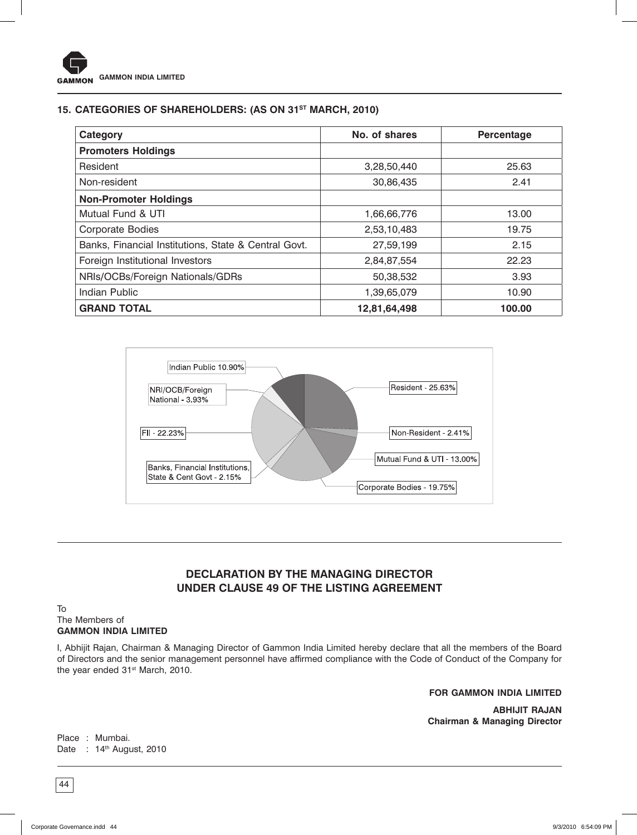# **15. CATEGORIES OF SHAREHOLDERS: (AS ON 31ST MARCH, 2010)**

| Category                                             | No. of shares | Percentage |
|------------------------------------------------------|---------------|------------|
| <b>Promoters Holdings</b>                            |               |            |
| Resident                                             | 3,28,50,440   | 25.63      |
| Non-resident                                         | 30,86,435     | 2.41       |
| <b>Non-Promoter Holdings</b>                         |               |            |
| Mutual Fund & UTI                                    | 1,66,66,776   | 13.00      |
| <b>Corporate Bodies</b>                              | 2,53,10,483   | 19.75      |
| Banks, Financial Institutions, State & Central Govt. | 27,59,199     | 2.15       |
| Foreign Institutional Investors                      | 2,84,87,554   | 22.23      |
| NRIs/OCBs/Foreign Nationals/GDRs                     | 50,38,532     | 3.93       |
| Indian Public                                        | 1,39,65,079   | 10.90      |
| <b>GRAND TOTAL</b>                                   | 12,81,64,498  | 100.00     |



# **DECLARATION BY THE MANAGING DIRECTOR UNDER CLAUSE 49 OF THE LISTING AGREEMENT**

#### To The Members of **GAMMON INDIA LIMITED**

I, Abhijit Rajan, Chairman & Managing Director of Gammon India Limited hereby declare that all the members of the Board of Directors and the senior management personnel have affirmed compliance with the Code of Conduct of the Company for the year ended 31<sup>st</sup> March, 2010.

**FOR GAMMON INDIA LIMITED**

**ABHIJIT RAJAN Chairman & Managing Director**

Place : Mumbai. Date : 14<sup>th</sup> August, 2010